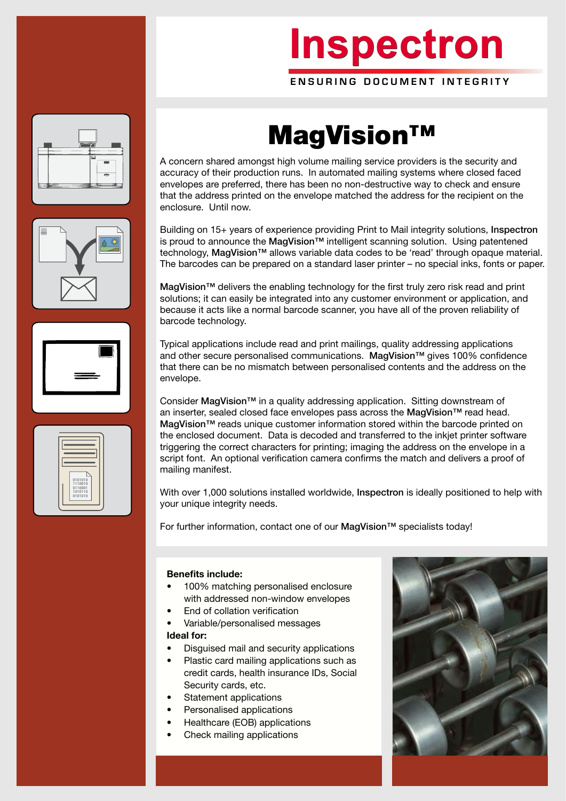# **Inspectron Inspectron**

ENSURING DOCUMENT INTEGRITY







### MagVision™

A concern shared amongst high volume mailing service providers is the security and accuracy of their production runs. In automated mailing systems where closed faced envelopes are preferred, there has been no non-destructive way to check and ensure that the address printed on the envelope matched the address for the recipient on the enclosure. Until now.

Building on 15+ years of experience providing Print to Mail integrity solutions, Inspectron is proud to announce the MagVision™ intelligent scanning solution. Using patentened technology, MagVision™ allows variable data codes to be 'read' through opaque material. The barcodes can be prepared on a standard laser printer – no special inks, fonts or paper.

MagVision™ delivers the enabling technology for the first truly zero risk read and print solutions; it can easily be integrated into any customer environment or application, and because it acts like a normal barcode scanner, you have all of the proven reliability of barcode technology.

Typical applications include read and print mailings, quality addressing applications and other secure personalised communications. MagVision™ gives 100% confidence that there can be no mismatch between personalised contents and the address on the envelope.

Consider MagVision<sup>™</sup> in a quality addressing application. Sitting downstream of an inserter, sealed closed face envelopes pass across the MagVision™ read head. MagVision™ reads unique customer information stored within the barcode printed on the enclosed document. Data is decoded and transferred to the inkjet printer software triggering the correct characters for printing; imaging the address on the envelope in a script font. An optional verification camera confirms the match and delivers a proof of mailing manifest.

With over 1,000 solutions installed worldwide, Inspectron is ideally positioned to help with your unique integrity needs.

For further information, contact one of our MagVision™ specialists today!

#### **Benefits include:**

- 100% matching personalised enclosure with addressed non-window envelopes
- End of collation verification
- Variable/personalised messages

#### **Ideal for:**

- Disguised mail and security applications
- Plastic card mailing applications such as credit cards, health insurance IDs, Social Security cards, etc.
- Statement applications
- Personalised applications
- Healthcare (EOB) applications
- Check mailing applications